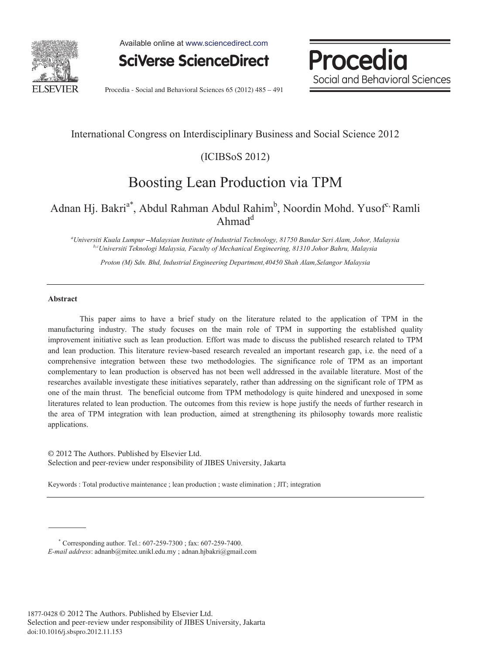

Available online at www.sciencedirect.com

**SciVerse ScienceDirect** 

Procedia Social and Behavioral Sciences

Procedia - Social and Behavioral Sciences 65 (2012) 485 - 491

### International Congress on Interdisciplinary Business and Social Science 2012

(ICIBSoS 2012)

## Boosting Lean Production via TPM

### Adnan Hj. Bakri<sup>a\*</sup>, Abdul Rahman Abdul Rahim<sup>b</sup>, Noordin Mohd. Yusof<sup>c,</sup> Ramli Ahmad<sup>d</sup>

<sup>a</sup>Universiti Kuala Lumpur --Malaysian Institute of Industrial Technology, 81750 Bandar Seri Alam, Johor, Malaysia *Universiti Kuala Lumpur Malaysian Institute of Industrial Technology, 81750 Bandar Seri Alam, Johor, Malaysia b,cUniversiti Teknologi Malaysia, Faculty of Mechanical Engineering, 81310 Johor Bahru, Malaysia* 

*Proton (M) Sdn. Bhd, Industrial Engineering Department,40450 Shah Alam,Selangor Malaysia* 

#### **Abstract**

This paper aims to have a brief study on the literature related to the application of TPM in the manufacturing industry. The study focuses on the main role of TPM in supporting the established quality improvement initiative such as lean production. Effort was made to discuss the published research related to TPM and lean production. This literature review-based research revealed an important research gap, i.e. the need of a comprehensive integration between these two methodologies. The significance role of TPM as an important complementary to lean production is observed has not been well addressed in the available literature. Most of the researches available investigate these initiatives separately, rather than addressing on the significant role of TPM as one of the main thrust. The beneficial outcome from TPM methodology is quite hindered and unexposed in some literatures related to lean production. The outcomes from this review is hope justify the needs of further research in the area of TPM integration with lean production, aimed at strengthening its philosophy towards more realistic applications.

© 2012 The Authors. Published by Elsevier Ltd. Selection and peer-review under responsibility of JIBES University, Jakarta

Keywords : Total productive maintenance ; lean production ; waste elimination ; JIT; integration

<sup>\*</sup> Corresponding author. Tel.: 607-259-7300 ; fax: 607-259-7400.

*E-mail address*: adnanb@mitec.unikl.edu.my ; adnan.hjbakri@gmail.com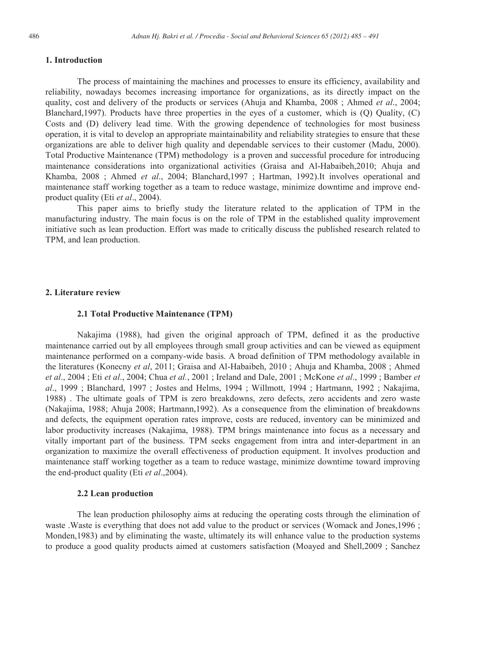#### **1. Introduction**

The process of maintaining the machines and processes to ensure its efficiency, availability and reliability, nowadays becomes increasing importance for organizations, as its directly impact on the quality, cost and delivery of the products or services (Ahuja and Khamba, 2008 ; Ahmed *et al*., 2004; Blanchard,1997). Products have three properties in the eyes of a customer, which is (Q) Quality, (C) Costs and (D) delivery lead time. With the growing dependence of technologies for most business operation, it is vital to develop an appropriate maintainability and reliability strategies to ensure that these organizations are able to deliver high quality and dependable services to their customer (Madu, 2000). Total Productive Maintenance (TPM) methodology is a proven and successful procedure for introducing maintenance considerations into organizational activities (Graisa and Al-Habaibeh,2010; Ahuja and Khamba, 2008 ; Ahmed *et al*., 2004; Blanchard,1997 ; Hartman, 1992).It involves operational and maintenance staff working together as a team to reduce wastage, minimize downtime and improve endproduct quality (Eti *et al*., 2004).

This paper aims to briefly study the literature related to the application of TPM in the manufacturing industry. The main focus is on the role of TPM in the established quality improvement initiative such as lean production. Effort was made to critically discuss the published research related to TPM, and lean production.

#### **2. Literature review**

#### **2.1 Total Productive Maintenance (TPM)**

Nakajima (1988), had given the original approach of TPM, defined it as the productive maintenance carried out by all employees through small group activities and can be viewed as equipment maintenance performed on a company-wide basis. A broad definition of TPM methodology available in the literatures (Konecny *et al*, 2011; Graisa and Al-Habaibeh, 2010 ; Ahuja and Khamba, 2008 ; Ahmed *et al*., 2004 ; Eti *et al*., 2004; Chua *et al.*, 2001 ; Ireland and Dale, 2001 ; McKone *et al*., 1999 ; Bamber *et al*., 1999 ; Blanchard, 1997 ; Jostes and Helms, 1994 ; Willmott, 1994 ; Hartmann, 1992 ; Nakajima, 1988) . The ultimate goals of TPM is zero breakdowns, zero defects, zero accidents and zero waste (Nakajima, 1988; Ahuja 2008; Hartmann,1992). As a consequence from the elimination of breakdowns and defects, the equipment operation rates improve, costs are reduced, inventory can be minimized and labor productivity increases (Nakajima, 1988). TPM brings maintenance into focus as a necessary and vitally important part of the business. TPM seeks engagement from intra and inter-department in an organization to maximize the overall effectiveness of production equipment. It involves production and maintenance staff working together as a team to reduce wastage, minimize downtime toward improving the end-product quality (Eti *et al*.,2004).

#### **2.2 Lean production**

The lean production philosophy aims at reducing the operating costs through the elimination of waste .Waste is everything that does not add value to the product or services (Womack and Jones,1996 ; Monden,1983) and by eliminating the waste, ultimately its will enhance value to the production systems to produce a good quality products aimed at customers satisfaction (Moayed and Shell,2009 ; Sanchez